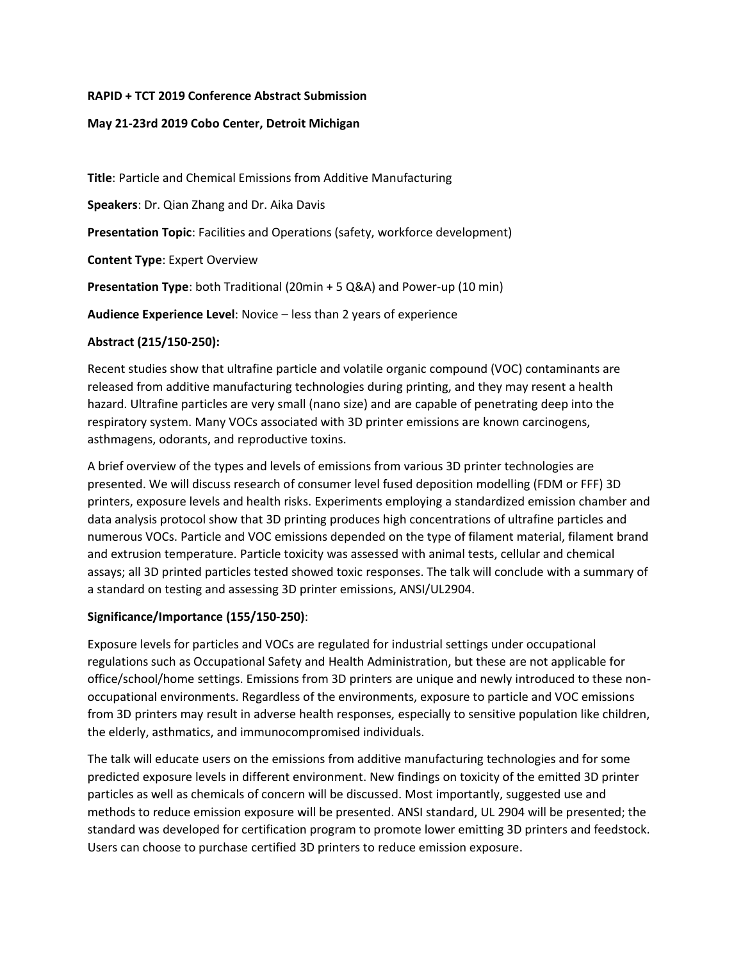## **RAPID + TCT 2019 Conference Abstract Submission**

## **May 21-23rd 2019 Cobo Center, Detroit Michigan**

**Title**: Particle and Chemical Emissions from Additive Manufacturing

**Speakers**: Dr. Qian Zhang and Dr. Aika Davis

**Presentation Topic**: Facilities and Operations (safety, workforce development)

**Content Type**: Expert Overview

**Presentation Type**: both Traditional (20min + 5 Q&A) and Power-up (10 min)

**Audience Experience Level**: Novice – less than 2 years of experience

## **Abstract (215/150-250):**

Recent studies show that ultrafine particle and volatile organic compound (VOC) contaminants are released from additive manufacturing technologies during printing, and they may resent a health hazard. Ultrafine particles are very small (nano size) and are capable of penetrating deep into the respiratory system. Many VOCs associated with 3D printer emissions are known carcinogens, asthmagens, odorants, and reproductive toxins.

A brief overview of the types and levels of emissions from various 3D printer technologies are presented. We will discuss research of consumer level fused deposition modelling (FDM or FFF) 3D printers, exposure levels and health risks. Experiments employing a standardized emission chamber and data analysis protocol show that 3D printing produces high concentrations of ultrafine particles and numerous VOCs. Particle and VOC emissions depended on the type of filament material, filament brand and extrusion temperature. Particle toxicity was assessed with animal tests, cellular and chemical assays; all 3D printed particles tested showed toxic responses. The talk will conclude with a summary of a standard on testing and assessing 3D printer emissions, ANSI/UL2904.

## **Significance/Importance (155/150-250)**:

Exposure levels for particles and VOCs are regulated for industrial settings under occupational regulations such as Occupational Safety and Health Administration, but these are not applicable for office/school/home settings. Emissions from 3D printers are unique and newly introduced to these nonoccupational environments. Regardless of the environments, exposure to particle and VOC emissions from 3D printers may result in adverse health responses, especially to sensitive population like children, the elderly, asthmatics, and immunocompromised individuals.

The talk will educate users on the emissions from additive manufacturing technologies and for some predicted exposure levels in different environment. New findings on toxicity of the emitted 3D printer particles as well as chemicals of concern will be discussed. Most importantly, suggested use and methods to reduce emission exposure will be presented. ANSI standard, UL 2904 will be presented; the standard was developed for certification program to promote lower emitting 3D printers and feedstock. Users can choose to purchase certified 3D printers to reduce emission exposure.